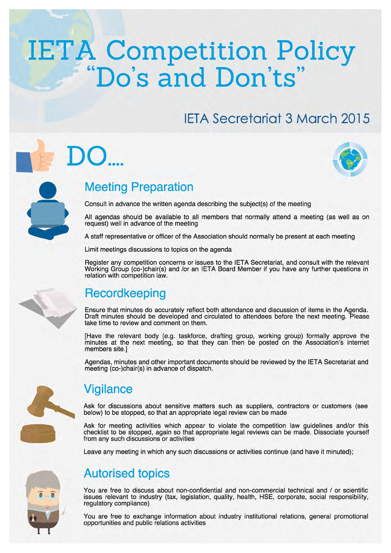# **IETA Competition Policy**<br>"Do's and Don'ts"

## **IETA Secretariat 3 March 2015**



#### **Meeting Preparation**

Consult in advance the written agenda describing the subject(s) of the meeting

All agendas should be available to all members that normally attend a meeting (as well as on request) well in advance of the meeting

A staff representative or officer of the Association should normally be present at each meeting

Limit meetings discussions to topics on the agenda

Register any competition concerns or issues to the IETA Secretariat, and consult with the relevant Working Group (co-)chair(s) and /or an IETA Board Member if you have any further questions in relation with competition law.

#### Recordkeeping

Ensure that minutes do accurately reflect both attendance and discussion of items in the Agenda.<br>Draft minutes should be developed and circulated to attendees before the next meeting. Please take time to review and comment on them.

[Have the relevant body (e.g. taskforce, drafting group, working group) formally approve the minutes at the next meeting, so that they can then be posted on the Association's internet members site.]

Agendas, minutes and other important documents should be reviewed by the IETA Secretariat and meeting (co-)chair(s) in advance of dispatch.



#### **Vigilance**

Ask for discussions about sensitive matters such as suppliers, contractors or customers (see below) to be stopped, so that an appropriate legal review can be made

Ask for meeting activities which appear to violate the competition law guidelines and/or this checklist to be stopped, again so that appropriate legal reviews can be made. Dissociate yourself from any such discussions or activities

Leave any meeting in which any such discussions or activities continue (and have it minuted);

#### **Autorised topics**

You are free to discuss about non-confidential and non-commercial technical and / or scientific issues relevant to industry (tax, legislation, quality, health, HSE, corporate, social responsibility, requlatory compliance)

You are free to exchange information about industry institutional relations, general promotional opportunities and public relations activities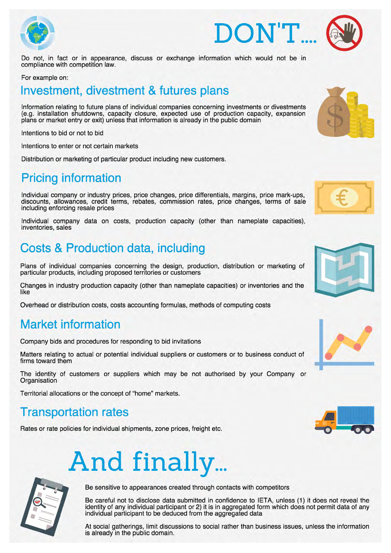



Do not, in fact or in appearance, discuss or exchange information which would not be in compliance with competition law.

#### For example on:

#### Investment, divestment & futures plans

Information relating to future plans of individual companies concerning investments or divestments (e.g. installation shutdowns, capacity closure, expected use of production capacity, expansion<br>plans or market entry or exit) unless that information is already in the public domain

Intentions to bid or not to bid

Intentions to enter or not certain markets

Distribution or marketing of particular product including new customers.

#### **Pricing information**

Individual company or industry prices, price changes, price differentials, margins, price mark-ups, discounts. allowances, credit terms, rebates, commission rates, price changes, terms of sale including enforcing resale prices

Individual company data on costs, production capacity (other than nameplate capacities), inventories, sales

### **Costs & Production data, including**

Plans of individual companies concerning the design, production, distribution or marketing of particular products, including proposed territories or customers

Changes in industry production capacity (other than nameplate capacities) or inventories and the like

Overhead or distribution costs, costs accounting formulas, methods of computing costs

#### **Market information**

Company bids and procedures for responding to bid invitations

Matters relating to actual or potential individual suppliers or customers or to business conduct of firms toward them

The identity of customers or suppliers which may be not authorised by your Company or Organisation

Territorial allocations or the concept of "home" markets.

#### **Transportation rates**

Rates or rate policies for individual shipments, zone prices, freight etc.

## And finally...



Be sensitive to appearances created through contacts with competitors

Be careful not to disclose data submitted in confidence to IETA, unless (1) it does not reveal the identity of any individual participant or 2) it is in aggregated form which does not permit data of any individual participant to be deduced from the aggregated data

At social gatherings, limit discussions to social rather than business issues, unless the information is already in the public domain.











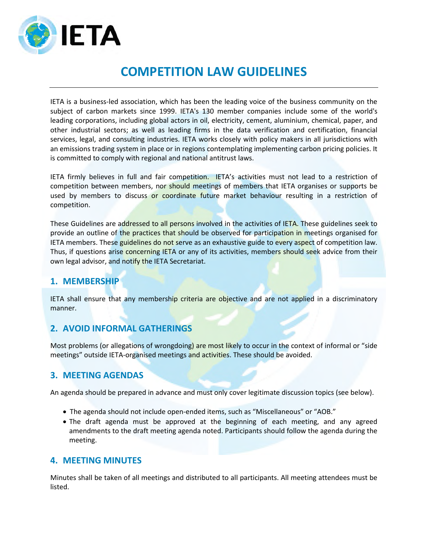

#### **COMPETITION LAW GUIDELINES**

IETA is a business-led association, which has been the leading voice of the business community on the subject of carbon markets since 1999. IETA's 130 member companies include some of the world's leading corporations, including global actors in oil, electricity, cement, aluminium, chemical, paper, and other industrial sectors; as well as leading firms in the data verification and certification, financial services, legal, and consulting industries. IETA works closely with policy makers in all jurisdictions with an emissions trading system in place or in regions contemplating implementing carbon pricing policies. It is committed to comply with regional and national antitrust laws.

IETA firmly believes in full and fair competition. IETA's activities must not lead to a restriction of competition between members, nor should meetings of members that IETA organises or supports be used by members to discuss or coordinate future market behaviour resulting in a restriction of competition.

These Guidelines are addressed to all persons involved in the activities of IETA. These guidelines seek to provide an outline of the practices that should be observed for participation in meetings organised for IETA members. These guidelines do not serve as an exhaustive guide to every aspect of competition law. Thus, if questions arise concerning IETA or any of its activities, members should seek advice from their own legal advisor, and notify the IETA Secretariat.

#### **1. MEMBERSHIP**

IETA shall ensure that any membership criteria are objective and are not applied in a discriminatory manner.

#### **2. AVOID INFORMAL GATHERINGS**

Most problems (or allegations of wrongdoing) are most likely to occur in the context of informal or "side meetings" outside IETA-organised meetings and activities. These should be avoided.

#### **3. MEETING AGENDAS**

An agenda should be prepared in advance and must only cover legitimate discussion topics (see below).

- The agenda should not include open-ended items, such as "Miscellaneous" or "AOB."
- The draft agenda must be approved at the beginning of each meeting, and any agreed amendments to the draft meeting agenda noted. Participants should follow the agenda during the meeting.

#### **4. MEETING MINUTES**

Minutes shall be taken of all meetings and distributed to all participants. All meeting attendees must be listed.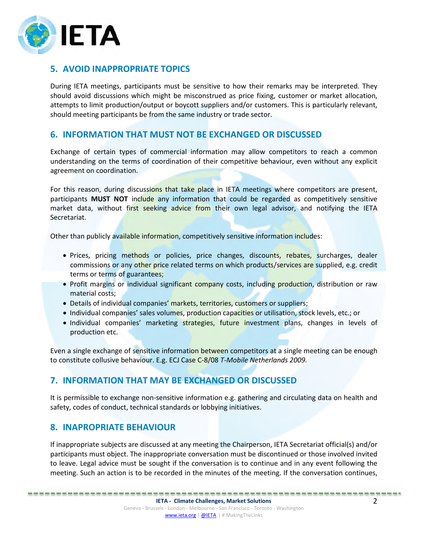

#### **5. AVOID INAPPROPRIATE TOPICS**

During IETA meetings, participants must be sensitive to how their remarks may be interpreted. They should avoid discussions which might be misconstrued as price fixing, customer or market allocation, attempts to limit production/output or boycott suppliers and/or customers. This is particularly relevant, should meeting participants be from the same industry or trade sector.

#### **6. INFORMATION THAT MUST NOT BE EXCHANGED OR DISCUSSED**

Exchange of certain types of commercial information may allow competitors to reach a common understanding on the terms of coordination of their competitive behaviour, even without any explicit agreement on coordination.

For this reason, during discussions that take place in IETA meetings where competitors are present, participants **MUST NOT** include any information that could be regarded as competitively sensitive market data, without first seeking advice from their own legal advisor, and notifying the IETA Secretariat.

Other than publicly available information, competitively sensitive information includes:

- Prices, pricing methods or policies, price changes, discounts, rebates, surcharges, dealer commissions or any other price related terms on which products/services are supplied, e.g. credit terms or terms of guarantees;
- Profit margins or individual significant company costs, including production, distribution or raw material costs;
- Details of individual companies' markets, territories, customers or suppliers;
- Individual companies' sales volumes, production capacities or utilisation, stock levels, etc.; or
- Individual companies' marketing strategies, future investment plans, changes in levels of production etc.

Even a single exchange of sensitive information between competitors at a single meeting can be enough to constitute collusive behaviour. E.g. ECJ Case C-8/08 *T-Mobile Netherlands 2009.*

#### **7. INFORMATION THAT MAY BE EXCHANGED OR DISCUSSED**

It is permissible to exchange non-sensitive information e.g. gathering and circulating data on health and safety, codes of conduct, technical standards or lobbying initiatives.

#### **8. INAPROPRIATE BEHAVIOUR**

If inappropriate subjects are discussed at any meeting the Chairperson, IETA Secretariat official(s) and/or participants must object. The inappropriate conversation must be discontinued or those involved invited to leave. Legal advice must be sought if the conversation is to continue and in any event following the meeting. Such an action is to be recorded in the minutes of the meeting. If the conversation continues,